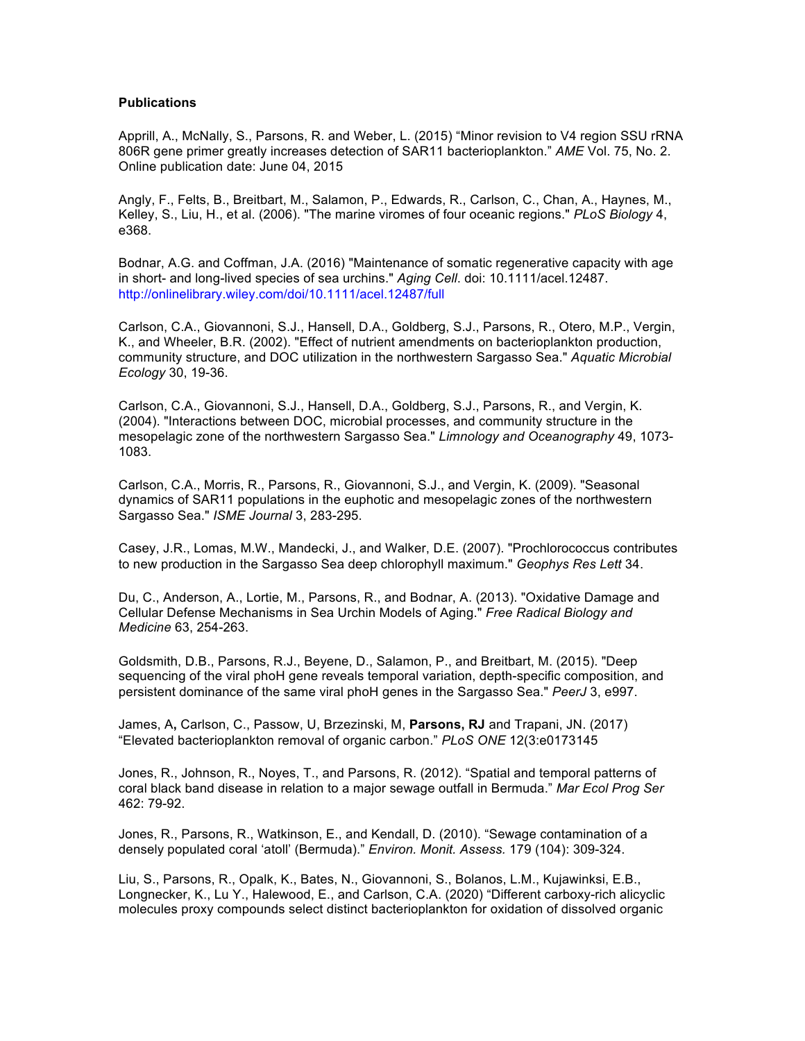## **Publications**

Apprill, A., McNally, S., Parsons, R. and Weber, L. (2015) "Minor revision to V4 region SSU rRNA 806R gene primer greatly increases detection of SAR11 bacterioplankton." *AME* Vol. 75, No. 2. Online publication date: June 04, 2015

Angly, F., Felts, B., Breitbart, M., Salamon, P., Edwards, R., Carlson, C., Chan, A., Haynes, M., Kelley, S., Liu, H., et al. (2006). "The marine viromes of four oceanic regions." *PLoS Biology* 4, e368.

Bodnar, A.G. and Coffman, J.A. (2016) "Maintenance of somatic regenerative capacity with age in short- and long-lived species of sea urchins." *Aging Cell*. doi: 10.1111/acel.12487. http://onlinelibrary.wiley.com/doi/10.1111/acel.12487/full

Carlson, C.A., Giovannoni, S.J., Hansell, D.A., Goldberg, S.J., Parsons, R., Otero, M.P., Vergin, K., and Wheeler, B.R. (2002). "Effect of nutrient amendments on bacterioplankton production, community structure, and DOC utilization in the northwestern Sargasso Sea." *Aquatic Microbial Ecology* 30, 19-36.

Carlson, C.A., Giovannoni, S.J., Hansell, D.A., Goldberg, S.J., Parsons, R., and Vergin, K. (2004). "Interactions between DOC, microbial processes, and community structure in the mesopelagic zone of the northwestern Sargasso Sea." *Limnology and Oceanography* 49, 1073- 1083.

Carlson, C.A., Morris, R., Parsons, R., Giovannoni, S.J., and Vergin, K. (2009). "Seasonal dynamics of SAR11 populations in the euphotic and mesopelagic zones of the northwestern Sargasso Sea." *ISME Journal* 3, 283-295.

Casey, J.R., Lomas, M.W., Mandecki, J., and Walker, D.E. (2007). "Prochlorococcus contributes to new production in the Sargasso Sea deep chlorophyll maximum." *Geophys Res Lett* 34.

Du, C., Anderson, A., Lortie, M., Parsons, R., and Bodnar, A. (2013). "Oxidative Damage and Cellular Defense Mechanisms in Sea Urchin Models of Aging." *Free Radical Biology and Medicine* 63, 254-263.

Goldsmith, D.B., Parsons, R.J., Beyene, D., Salamon, P., and Breitbart, M. (2015). "Deep sequencing of the viral phoH gene reveals temporal variation, depth-specific composition, and persistent dominance of the same viral phoH genes in the Sargasso Sea." *PeerJ* 3, e997.

James, A**,** Carlson, C., Passow, U, Brzezinski, M, **Parsons, RJ** and Trapani, JN. (2017) "Elevated bacterioplankton removal of organic carbon." *PLoS ONE* 12(3:e0173145

Jones, R., Johnson, R., Noyes, T., and Parsons, R. (2012). "Spatial and temporal patterns of coral black band disease in relation to a major sewage outfall in Bermuda." *Mar Ecol Prog Ser* 462: 79-92.

Jones, R., Parsons, R., Watkinson, E., and Kendall, D. (2010). "Sewage contamination of a densely populated coral 'atoll' (Bermuda)." *Environ. Monit. Assess.* 179 (104): 309-324.

Liu, S., Parsons, R., Opalk, K., Bates, N., Giovannoni, S., Bolanos, L.M., Kujawinksi, E.B., Longnecker, K., Lu Y., Halewood, E., and Carlson, C.A. (2020) "Different carboxy-rich alicyclic molecules proxy compounds select distinct bacterioplankton for oxidation of dissolved organic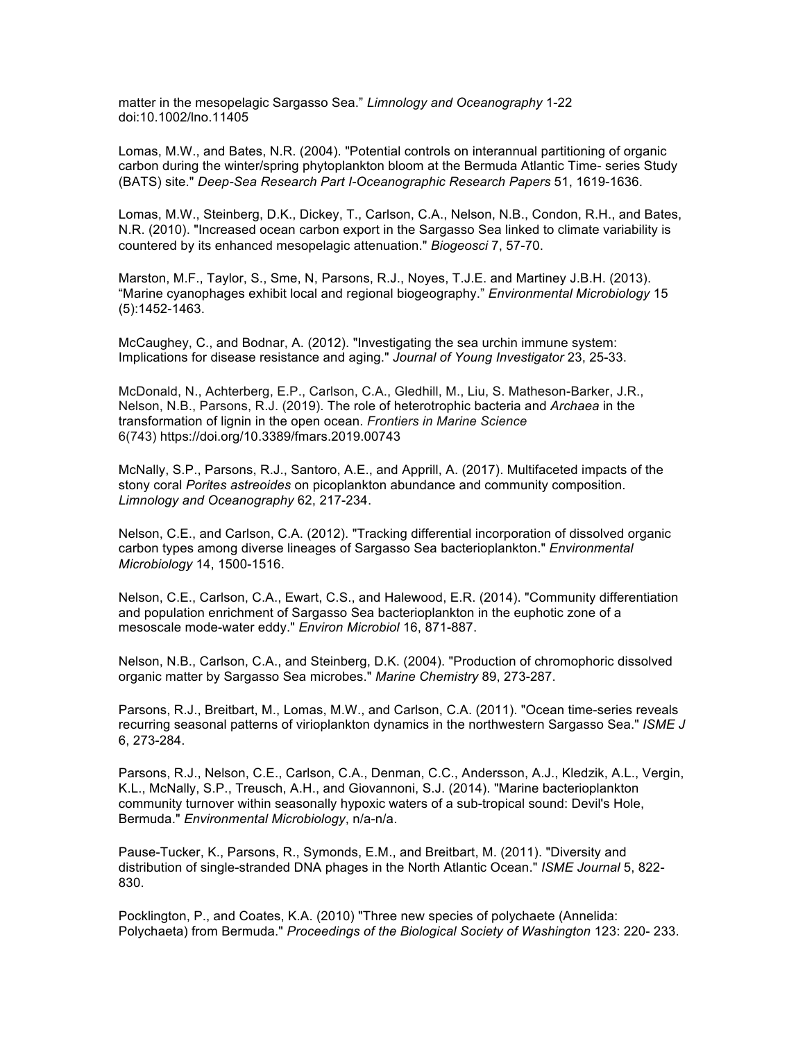matter in the mesopelagic Sargasso Sea." *Limnology and Oceanography* 1-22 doi:10.1002/lno.11405

Lomas, M.W., and Bates, N.R. (2004). "Potential controls on interannual partitioning of organic carbon during the winter/spring phytoplankton bloom at the Bermuda Atlantic Time- series Study (BATS) site." *Deep-Sea Research Part I-Oceanographic Research Papers* 51, 1619-1636.

Lomas, M.W., Steinberg, D.K., Dickey, T., Carlson, C.A., Nelson, N.B., Condon, R.H., and Bates, N.R. (2010). "Increased ocean carbon export in the Sargasso Sea linked to climate variability is countered by its enhanced mesopelagic attenuation." *Biogeosci* 7, 57-70.

Marston, M.F., Taylor, S., Sme, N, Parsons, R.J., Noyes, T.J.E. and Martiney J.B.H. (2013). "Marine cyanophages exhibit local and regional biogeography." *Environmental Microbiology* 15 (5):1452-1463.

McCaughey, C., and Bodnar, A. (2012). "Investigating the sea urchin immune system: Implications for disease resistance and aging." *Journal of Young Investigator* 23, 25-33.

McDonald, N., Achterberg, E.P., Carlson, C.A., Gledhill, M., Liu, S. Matheson-Barker, J.R., Nelson, N.B., Parsons, R.J. (2019). The role of heterotrophic bacteria and *Archaea* in the transformation of lignin in the open ocean. *Frontiers in Marine Science* 6(743) https://doi.org/10.3389/fmars.2019.00743

McNally, S.P., Parsons, R.J., Santoro, A.E., and Apprill, A. (2017). Multifaceted impacts of the stony coral *Porites astreoides* on picoplankton abundance and community composition. *Limnology and Oceanography* 62, 217-234.

Nelson, C.E., and Carlson, C.A. (2012). "Tracking differential incorporation of dissolved organic carbon types among diverse lineages of Sargasso Sea bacterioplankton." *Environmental Microbiology* 14, 1500-1516.

Nelson, C.E., Carlson, C.A., Ewart, C.S., and Halewood, E.R. (2014). "Community differentiation and population enrichment of Sargasso Sea bacterioplankton in the euphotic zone of a mesoscale mode-water eddy." *Environ Microbiol* 16, 871-887.

Nelson, N.B., Carlson, C.A., and Steinberg, D.K. (2004). "Production of chromophoric dissolved organic matter by Sargasso Sea microbes." *Marine Chemistry* 89, 273-287.

Parsons, R.J., Breitbart, M., Lomas, M.W., and Carlson, C.A. (2011). "Ocean time-series reveals recurring seasonal patterns of virioplankton dynamics in the northwestern Sargasso Sea." *ISME J* 6, 273-284.

Parsons, R.J., Nelson, C.E., Carlson, C.A., Denman, C.C., Andersson, A.J., Kledzik, A.L., Vergin, K.L., McNally, S.P., Treusch, A.H., and Giovannoni, S.J. (2014). "Marine bacterioplankton community turnover within seasonally hypoxic waters of a sub-tropical sound: Devil's Hole, Bermuda." *Environmental Microbiology*, n/a-n/a.

Pause-Tucker, K., Parsons, R., Symonds, E.M., and Breitbart, M. (2011). "Diversity and distribution of single-stranded DNA phages in the North Atlantic Ocean." *ISME Journal* 5, 822- 830.

Pocklington, P., and Coates, K.A. (2010) "Three new species of polychaete (Annelida: Polychaeta) from Bermuda." *Proceedings of the Biological Society of Washington* 123: 220- 233.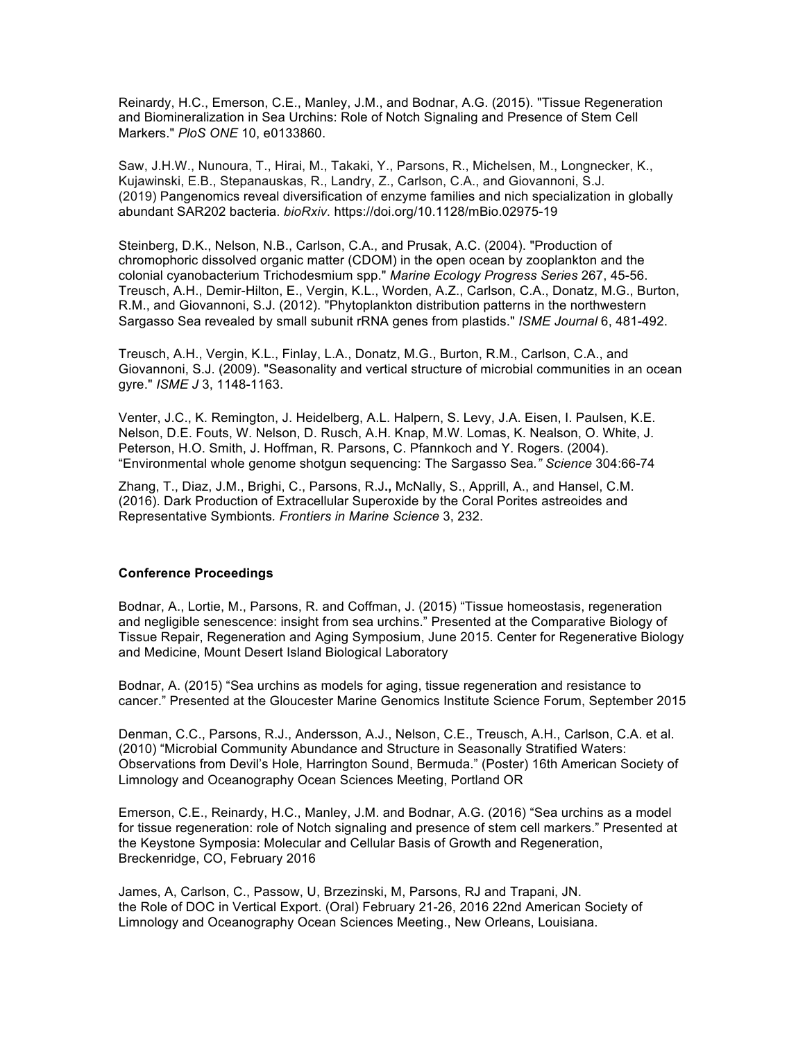Reinardy, H.C., Emerson, C.E., Manley, J.M., and Bodnar, A.G. (2015). "Tissue Regeneration and Biomineralization in Sea Urchins: Role of Notch Signaling and Presence of Stem Cell Markers." *PloS ONE* 10, e0133860.

Saw, J.H.W., Nunoura, T., Hirai, M., Takaki, Y., Parsons, R., Michelsen, M., Longnecker, K., Kujawinski, E.B., Stepanauskas, R., Landry, Z., Carlson, C.A., and Giovannoni, S.J. (2019) Pangenomics reveal diversification of enzyme families and nich specialization in globally abundant SAR202 bacteria. *bioRxiv*. https://doi.org/10.1128/mBio.02975-19

Steinberg, D.K., Nelson, N.B., Carlson, C.A., and Prusak, A.C. (2004). "Production of chromophoric dissolved organic matter (CDOM) in the open ocean by zooplankton and the colonial cyanobacterium Trichodesmium spp." *Marine Ecology Progress Series* 267, 45-56. Treusch, A.H., Demir-Hilton, E., Vergin, K.L., Worden, A.Z., Carlson, C.A., Donatz, M.G., Burton, R.M., and Giovannoni, S.J. (2012). "Phytoplankton distribution patterns in the northwestern Sargasso Sea revealed by small subunit rRNA genes from plastids." *ISME Journal* 6, 481-492.

Treusch, A.H., Vergin, K.L., Finlay, L.A., Donatz, M.G., Burton, R.M., Carlson, C.A., and Giovannoni, S.J. (2009). "Seasonality and vertical structure of microbial communities in an ocean gyre." *ISME J* 3, 1148-1163.

Venter, J.C., K. Remington, J. Heidelberg, A.L. Halpern, S. Levy, J.A. Eisen, I. Paulsen, K.E. Nelson, D.E. Fouts, W. Nelson, D. Rusch, A.H. Knap, M.W. Lomas, K. Nealson, O. White, J. Peterson, H.O. Smith, J. Hoffman, R. Parsons, C. Pfannkoch and Y. Rogers. (2004). "Environmental whole genome shotgun sequencing: The Sargasso Sea*." Science* 304:66-74

Zhang, T., Diaz, J.M., Brighi, C., Parsons, R.J**.,** McNally, S., Apprill, A., and Hansel, C.M. (2016). Dark Production of Extracellular Superoxide by the Coral Porites astreoides and Representative Symbionts*. Frontiers in Marine Science* 3, 232.

## **Conference Proceedings**

Bodnar, A., Lortie, M., Parsons, R. and Coffman, J. (2015) "Tissue homeostasis, regeneration and negligible senescence: insight from sea urchins." Presented at the Comparative Biology of Tissue Repair, Regeneration and Aging Symposium, June 2015. Center for Regenerative Biology and Medicine, Mount Desert Island Biological Laboratory

Bodnar, A. (2015) "Sea urchins as models for aging, tissue regeneration and resistance to cancer." Presented at the Gloucester Marine Genomics Institute Science Forum, September 2015

Denman, C.C., Parsons, R.J., Andersson, A.J., Nelson, C.E., Treusch, A.H., Carlson, C.A. et al. (2010) "Microbial Community Abundance and Structure in Seasonally Stratified Waters: Observations from Devil's Hole, Harrington Sound, Bermuda." (Poster) 16th American Society of Limnology and Oceanography Ocean Sciences Meeting, Portland OR

Emerson, C.E., Reinardy, H.C., Manley, J.M. and Bodnar, A.G. (2016) "Sea urchins as a model for tissue regeneration: role of Notch signaling and presence of stem cell markers." Presented at the Keystone Symposia: Molecular and Cellular Basis of Growth and Regeneration, Breckenridge, CO, February 2016

James, A, Carlson, C., Passow, U, Brzezinski, M, Parsons, RJ and Trapani, JN. the Role of DOC in Vertical Export. (Oral) February 21-26, 2016 22nd American Society of Limnology and Oceanography Ocean Sciences Meeting., New Orleans, Louisiana.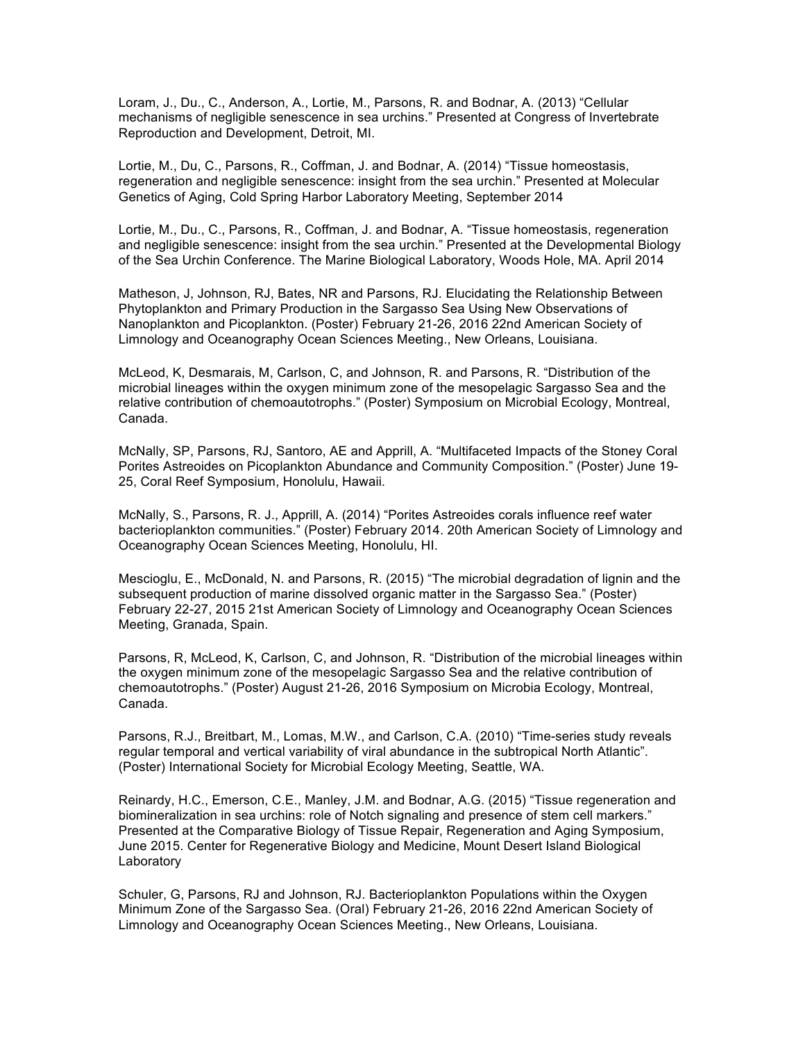Loram, J., Du., C., Anderson, A., Lortie, M., Parsons, R. and Bodnar, A. (2013) "Cellular mechanisms of negligible senescence in sea urchins." Presented at Congress of Invertebrate Reproduction and Development, Detroit, MI.

Lortie, M., Du, C., Parsons, R., Coffman, J. and Bodnar, A. (2014) "Tissue homeostasis, regeneration and negligible senescence: insight from the sea urchin." Presented at Molecular Genetics of Aging, Cold Spring Harbor Laboratory Meeting, September 2014

Lortie, M., Du., C., Parsons, R., Coffman, J. and Bodnar, A. "Tissue homeostasis, regeneration and negligible senescence: insight from the sea urchin." Presented at the Developmental Biology of the Sea Urchin Conference. The Marine Biological Laboratory, Woods Hole, MA. April 2014

Matheson, J, Johnson, RJ, Bates, NR and Parsons, RJ. Elucidating the Relationship Between Phytoplankton and Primary Production in the Sargasso Sea Using New Observations of Nanoplankton and Picoplankton. (Poster) February 21-26, 2016 22nd American Society of Limnology and Oceanography Ocean Sciences Meeting., New Orleans, Louisiana.

McLeod, K, Desmarais, M, Carlson, C, and Johnson, R. and Parsons, R. "Distribution of the microbial lineages within the oxygen minimum zone of the mesopelagic Sargasso Sea and the relative contribution of chemoautotrophs." (Poster) Symposium on Microbial Ecology, Montreal, Canada.

McNally, SP, Parsons, RJ, Santoro, AE and Apprill, A. "Multifaceted Impacts of the Stoney Coral Porites Astreoides on Picoplankton Abundance and Community Composition." (Poster) June 19- 25, Coral Reef Symposium, Honolulu, Hawaii.

McNally, S., Parsons, R. J., Apprill, A. (2014) "Porites Astreoides corals influence reef water bacterioplankton communities." (Poster) February 2014. 20th American Society of Limnology and Oceanography Ocean Sciences Meeting, Honolulu, HI.

Mescioglu, E., McDonald, N. and Parsons, R. (2015) "The microbial degradation of lignin and the subsequent production of marine dissolved organic matter in the Sargasso Sea." (Poster) February 22-27, 2015 21st American Society of Limnology and Oceanography Ocean Sciences Meeting, Granada, Spain.

Parsons, R, McLeod, K, Carlson, C, and Johnson, R. "Distribution of the microbial lineages within the oxygen minimum zone of the mesopelagic Sargasso Sea and the relative contribution of chemoautotrophs." (Poster) August 21-26, 2016 Symposium on Microbia Ecology, Montreal, Canada.

Parsons, R.J., Breitbart, M., Lomas, M.W., and Carlson, C.A. (2010) "Time-series study reveals regular temporal and vertical variability of viral abundance in the subtropical North Atlantic". (Poster) International Society for Microbial Ecology Meeting, Seattle, WA.

Reinardy, H.C., Emerson, C.E., Manley, J.M. and Bodnar, A.G. (2015) "Tissue regeneration and biomineralization in sea urchins: role of Notch signaling and presence of stem cell markers." Presented at the Comparative Biology of Tissue Repair, Regeneration and Aging Symposium, June 2015. Center for Regenerative Biology and Medicine, Mount Desert Island Biological Laboratory

Schuler, G, Parsons, RJ and Johnson, RJ. Bacterioplankton Populations within the Oxygen Minimum Zone of the Sargasso Sea. (Oral) February 21-26, 2016 22nd American Society of Limnology and Oceanography Ocean Sciences Meeting., New Orleans, Louisiana.